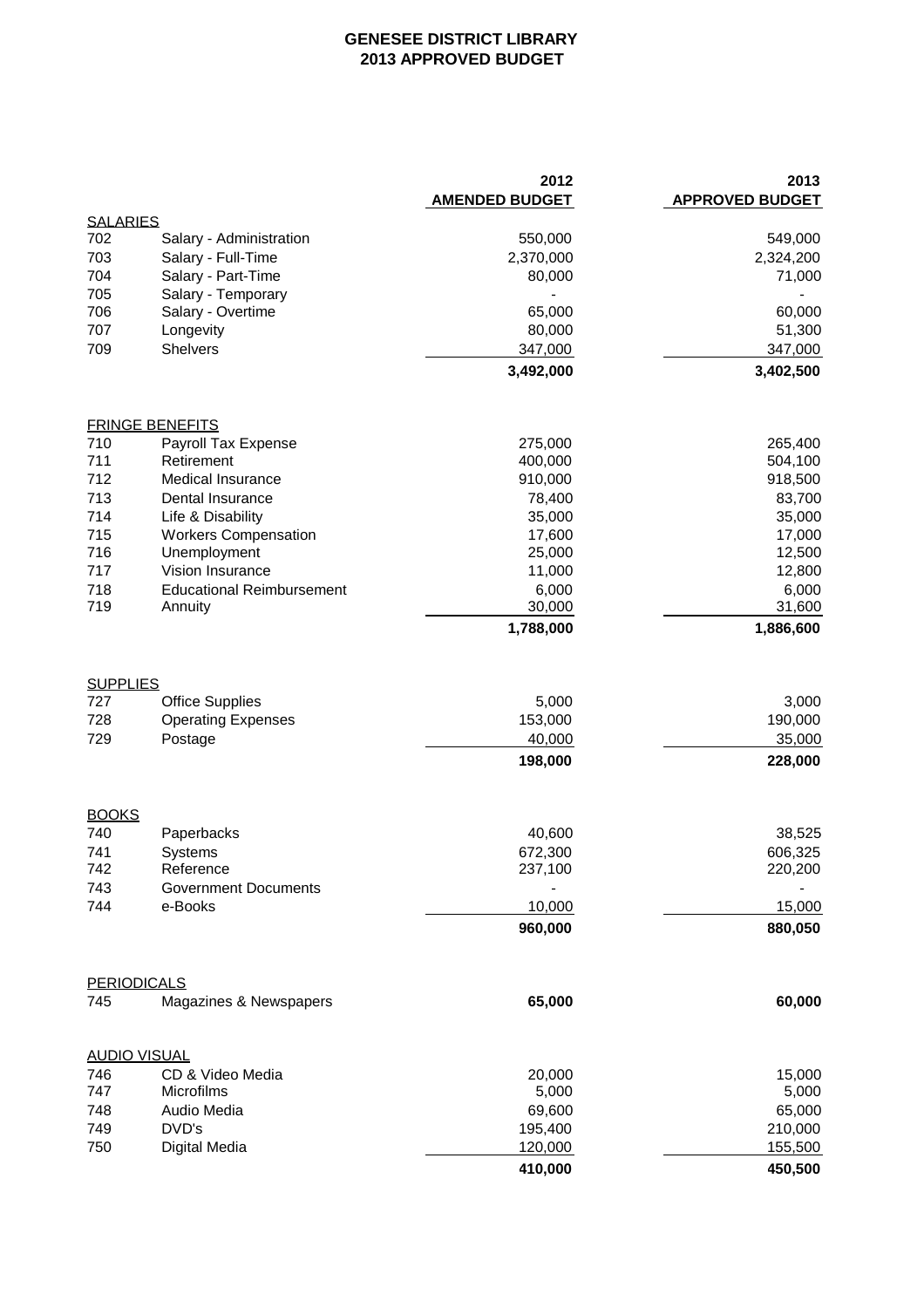## **GENESEE DISTRICT LIBRARY 2013 APPROVED BUDGET**

|                                      |                                                                | 2012<br><b>AMENDED BUDGET</b>         | 2013<br><b>APPROVED BUDGET</b>        |
|--------------------------------------|----------------------------------------------------------------|---------------------------------------|---------------------------------------|
| <b>SALARIES</b>                      |                                                                |                                       |                                       |
| 702                                  | Salary - Administration                                        | 550,000                               | 549,000                               |
| 703                                  | Salary - Full-Time                                             | 2,370,000                             | 2,324,200                             |
| 704                                  | Salary - Part-Time                                             | 80,000                                | 71,000                                |
| 705                                  | Salary - Temporary                                             |                                       |                                       |
| 706                                  | Salary - Overtime                                              | 65,000                                | 60,000                                |
| 707<br>709                           | Longevity<br><b>Shelvers</b>                                   | 80,000<br>347,000                     | 51,300                                |
|                                      |                                                                | 3,492,000                             | 347,000<br>3,402,500                  |
|                                      |                                                                |                                       |                                       |
|                                      | <b>FRINGE BENEFITS</b>                                         |                                       |                                       |
| 710                                  | Payroll Tax Expense                                            | 275,000                               | 265,400                               |
| 711                                  | Retirement                                                     | 400,000                               | 504,100                               |
| 712                                  | <b>Medical Insurance</b>                                       | 910,000                               | 918,500                               |
| 713                                  | Dental Insurance                                               | 78,400                                | 83,700                                |
| 714                                  | Life & Disability                                              | 35,000                                | 35,000                                |
| 715                                  | <b>Workers Compensation</b>                                    | 17,600                                | 17,000                                |
| 716                                  | Unemployment                                                   | 25,000                                | 12,500                                |
| 717                                  | Vision Insurance                                               | 11,000                                | 12,800                                |
| 718<br>719                           | <b>Educational Reimbursement</b><br>Annuity                    | 6,000<br>30,000                       | 6,000<br>31,600                       |
|                                      |                                                                | 1,788,000                             | 1,886,600                             |
| <b>SUPPLIES</b><br>727<br>728<br>729 | <b>Office Supplies</b><br><b>Operating Expenses</b><br>Postage | 5,000<br>153,000<br>40,000<br>198,000 | 3,000<br>190,000<br>35,000<br>228,000 |
| <b>BOOKS</b>                         |                                                                |                                       |                                       |
| 740                                  | Paperbacks                                                     | 40,600                                | 38,525                                |
| 741                                  | <b>Systems</b>                                                 | 672,300                               | 606,325                               |
| 742                                  | Reference                                                      | 237,100                               | 220,200                               |
| 743                                  | <b>Government Documents</b>                                    |                                       |                                       |
| 744                                  | e-Books                                                        | 10,000                                | 15,000                                |
|                                      |                                                                | 960,000                               | 880,050                               |
|                                      |                                                                |                                       |                                       |
|                                      | <b>PERIODICALS</b>                                             | 65,000                                |                                       |
| 745                                  | Magazines & Newspapers                                         |                                       | 60,000                                |
|                                      | <b>AUDIO VISUAL</b>                                            |                                       |                                       |
| 746                                  | CD & Video Media                                               | 20,000                                | 15,000                                |
| 747                                  | Microfilms                                                     | 5,000                                 | 5,000                                 |
| 748                                  | Audio Media                                                    | 69,600                                | 65,000                                |
| 749                                  | DVD's                                                          | 195,400                               | 210,000                               |
| 750                                  | Digital Media                                                  | 120,000                               | 155,500                               |
|                                      |                                                                | 410,000                               | 450,500                               |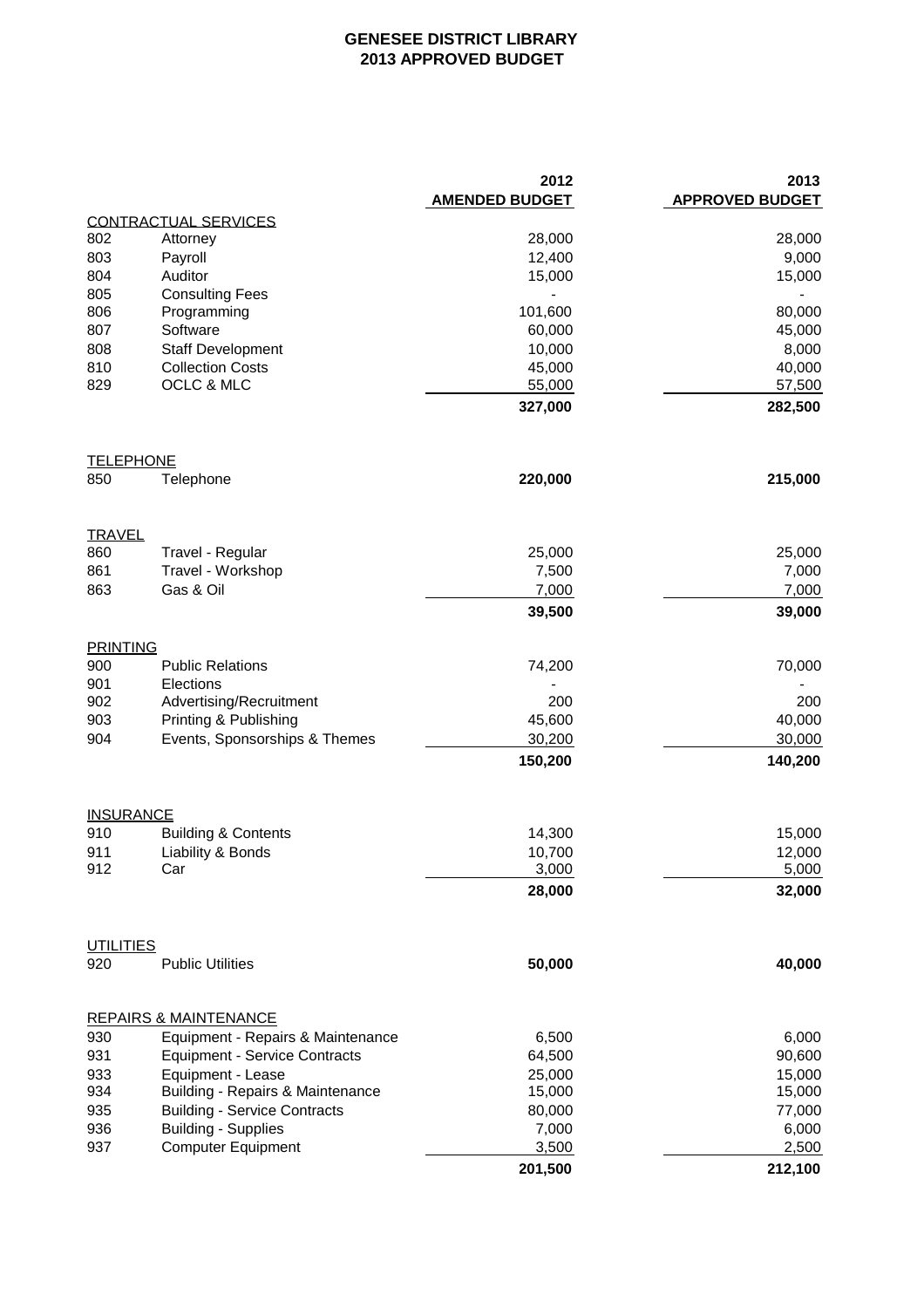## **GENESEE DISTRICT LIBRARY 2013 APPROVED BUDGET**

|                  |                                                        | 2012<br><b>AMENDED BUDGET</b> | 2013<br><b>APPROVED BUDGET</b> |
|------------------|--------------------------------------------------------|-------------------------------|--------------------------------|
|                  | <b>CONTRACTUAL SERVICES</b>                            |                               |                                |
| 802              | Attorney                                               | 28,000                        | 28,000                         |
| 803              | Payroll                                                | 12,400                        | 9,000                          |
| 804              | Auditor                                                | 15,000                        | 15,000                         |
| 805              | <b>Consulting Fees</b>                                 |                               |                                |
| 806              | Programming                                            | 101,600                       | 80,000                         |
| 807              | Software                                               | 60,000                        | 45,000                         |
| 808              | <b>Staff Development</b>                               | 10,000                        | 8,000                          |
| 810              | <b>Collection Costs</b>                                | 45,000                        | 40,000                         |
| 829              | OCLC & MLC                                             | 55,000                        | 57,500                         |
|                  |                                                        | 327,000                       | 282,500                        |
| <b>TELEPHONE</b> |                                                        |                               |                                |
| 850              | Telephone                                              | 220,000                       | 215,000                        |
| <u>TRAVEL</u>    |                                                        |                               |                                |
| 860              | Travel - Regular                                       | 25,000                        | 25,000                         |
| 861              | Travel - Workshop                                      | 7,500                         | 7,000                          |
| 863              | Gas & Oil                                              | 7,000                         | 7,000                          |
|                  |                                                        | 39,500                        | 39,000                         |
| <b>PRINTING</b>  |                                                        |                               |                                |
| 900              | <b>Public Relations</b>                                | 74,200                        | 70,000                         |
| 901              | Elections                                              |                               |                                |
| 902              | Advertising/Recruitment                                | 200                           | 200                            |
| 903              | Printing & Publishing<br>Events, Sponsorships & Themes | 45,600<br>30,200              | 40,000<br>30,000               |
| 904              |                                                        | 150,200                       | 140,200                        |
|                  |                                                        |                               |                                |
| <b>INSURANCE</b> |                                                        |                               |                                |
| 910              | <b>Building &amp; Contents</b>                         | 14,300                        | 15,000                         |
| 911<br>912       | Liability & Bonds<br>Car                               | 10,700                        | 12,000                         |
|                  |                                                        | 3,000                         | 5,000                          |
|                  |                                                        | 28,000                        | 32,000                         |
| <b>UTILITIES</b> |                                                        |                               |                                |
| 920              | <b>Public Utilities</b>                                | 50,000                        | 40,000                         |
|                  | <b>REPAIRS &amp; MAINTENANCE</b>                       |                               |                                |
| 930              | Equipment - Repairs & Maintenance                      | 6,500                         | 6,000                          |
| 931              | <b>Equipment - Service Contracts</b>                   | 64,500                        | 90,600                         |
| 933              | Equipment - Lease                                      | 25,000                        | 15,000                         |
| 934              | Building - Repairs & Maintenance                       | 15,000                        | 15,000                         |
| 935              | <b>Building - Service Contracts</b>                    | 80,000                        | 77,000                         |
| 936              | <b>Building - Supplies</b>                             | 7,000                         | 6,000                          |
| 937              | <b>Computer Equipment</b>                              | 3,500                         | 2,500                          |
|                  |                                                        | 201,500                       | 212,100                        |